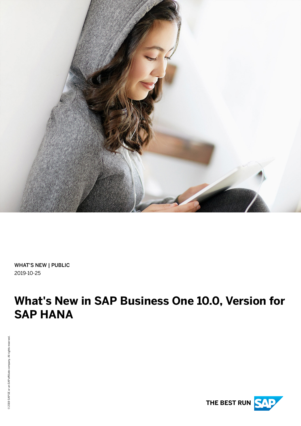

WHAT'S NEW | PUBLIC 2019-10-25

# **What's New in SAP Business One 10.0, Version for SAP HANA**

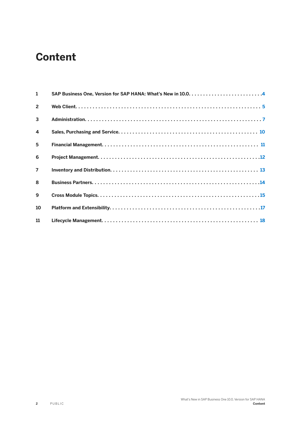### **Content**

| $\mathbf{1}$   |  |
|----------------|--|
| $\overline{2}$ |  |
| $\mathbf{3}$   |  |
| $\overline{4}$ |  |
| 5              |  |
| 6              |  |
| $\overline{7}$ |  |
| $\mathbf{8}$   |  |
| 9              |  |
| 10             |  |
| 11             |  |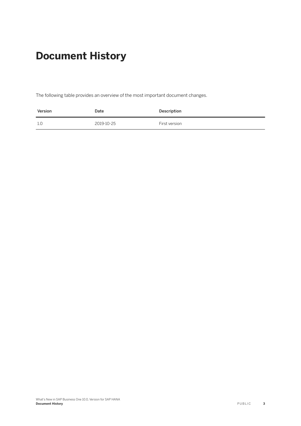### **Document History**

The following table provides an overview of the most important document changes.

| Version | Date       | Description   |
|---------|------------|---------------|
| 1.0     | 2019-10-25 | First version |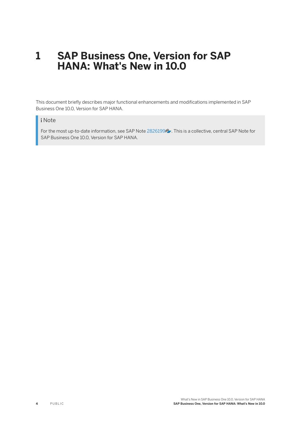#### <span id="page-3-0"></span>**1 SAP Business One, Version for SAP HANA: What's New in 10.0**

This document briefly describes major functional enhancements and modifications implemented in SAP Business One 10.0, Version for SAP HANA.

#### i Note

For the most up-to-date information, see SAP Note [2826199](http://help.sap.com/disclaimer?site=https://launchpad.support.sap.com/#/notes/2826199) . This is a collective, central SAP Note for SAP Business One 10.0, Version for SAP HANA.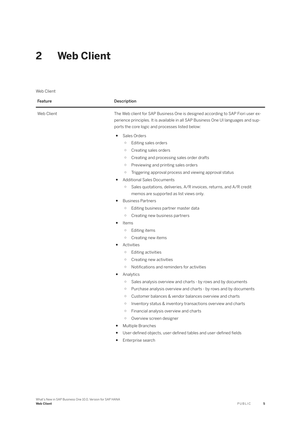#### <span id="page-4-0"></span>**2 Web Client**

Web Client Feature Description Web Client The Web client for SAP Business One is designed according to SAP Fiori user experience principles. It is available in all SAP Business One UI languages and supports the core logic and processes listed below: ● Sales Orders ○ Editing sales orders ○ Creating sales orders ○ Creating and processing sales order drafts ○ Previewing and printing sales orders ○ Triggering approval process and viewing approval status **Additional Sales Documents** ○ Sales quotations, deliveries, A/R invoices, returns, and A/R credit memos are supported as list views only. ● Business Partners ○ Editing business partner master data ○ Creating new business partners **Items** ○ Editing items ○ Creating new items Activities ○ Editing activities ○ Creating new activities ○ Notifications and reminders for activities Analytics ○ Sales analysis overview and charts - by rows and by documents ○ Purchase analysis overview and charts - by rows and by documents

- Customer balances & vendor balances overview and charts
- Inventory status & inventory transactions overview and charts
- Financial analysis overview and charts
- Overview screen designer
- **Multiple Branches**
- User-defined objects, user-defined tables and user-defined fields
- Enterprise search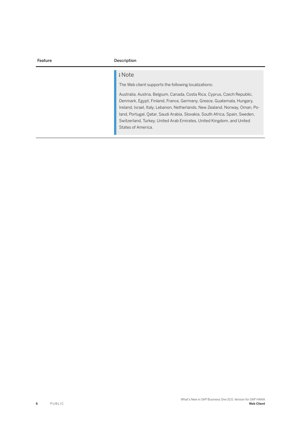| Description                                                                                                                                                                                                                                                                                                                                                                                                                                                                       |  |
|-----------------------------------------------------------------------------------------------------------------------------------------------------------------------------------------------------------------------------------------------------------------------------------------------------------------------------------------------------------------------------------------------------------------------------------------------------------------------------------|--|
| i Note<br>The Web client supports the following localizations:<br>Australia, Austria, Belgium, Canada, Costa Rica, Cyprus, Czech Republic,<br>Denmark, Egypt, Finland, France, Germany, Greece, Guatemala, Hungary,<br>Ireland, Israel, Italy, Lebanon, Netherlands, New Zealand, Norway, Oman, Po-<br>land, Portugal, Qatar, Saudi Arabia, Slovakia, South Africa, Spain, Sweden,<br>Switzerland, Turkey, United Arab Emirates, United Kingdom, and United<br>States of America. |  |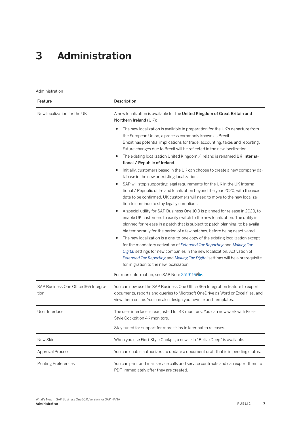## <span id="page-6-0"></span>**3 Administration**

Administration

| Feature                                      | Description                                                                                                                                                                                                                                                                                                                                                                                                                                                                                                                                                                                                                                                                                                                                                                                                                                                                              |  |
|----------------------------------------------|------------------------------------------------------------------------------------------------------------------------------------------------------------------------------------------------------------------------------------------------------------------------------------------------------------------------------------------------------------------------------------------------------------------------------------------------------------------------------------------------------------------------------------------------------------------------------------------------------------------------------------------------------------------------------------------------------------------------------------------------------------------------------------------------------------------------------------------------------------------------------------------|--|
| New localization for the UK                  | A new localization is available for the United Kingdom of Great Britain and<br>Northern Ireland (UK):                                                                                                                                                                                                                                                                                                                                                                                                                                                                                                                                                                                                                                                                                                                                                                                    |  |
|                                              | The new localization is available in preparation for the UK's departure from<br>$\bullet$<br>the European Union, a process commonly known as Brexit.<br>Brexit has potential implications for trade, accounting, taxes and reporting.<br>Future changes due to Brexit will be reflected in the new localization.<br>The existing localization United Kingdom / Ireland is renamed UK Interna-<br>٠                                                                                                                                                                                                                                                                                                                                                                                                                                                                                       |  |
|                                              | tional / Republic of Ireland.<br>Initially, customers based in the UK can choose to create a new company da-<br>٠<br>tabase in the new or existing localization.                                                                                                                                                                                                                                                                                                                                                                                                                                                                                                                                                                                                                                                                                                                         |  |
|                                              | SAP will stop supporting legal requirements for the UK in the UK Interna-<br>٠<br>tional / Republic of Ireland localization beyond the year 2020, with the exact<br>date to be confirmed. UK customers will need to move to the new localiza-<br>tion to continue to stay legally compliant.<br>A special utility for SAP Business One 10.0 is planned for release in 2020, to<br>$\bullet$<br>enable UK customers to easily switch to the new localization. The utility is<br>planned for release in a patch that is subject to patch planning, to be availa-<br>ble temporarily for the period of a few patches, before being deactivated.<br>The new localization is a one-to-one copy of the existing localization except<br>٠<br>for the mandatory activation of Extended Tax Reporting and Making Tax<br>Digital settings for new companies in the new localization. Activation of |  |
|                                              | Extended Tax Reporting and Making Tax Digital settings will be a prerequisite<br>for migration to the new localization.                                                                                                                                                                                                                                                                                                                                                                                                                                                                                                                                                                                                                                                                                                                                                                  |  |
|                                              | For more information, see SAP Note 2519116                                                                                                                                                                                                                                                                                                                                                                                                                                                                                                                                                                                                                                                                                                                                                                                                                                               |  |
| SAP Business One Office 365 Integra-<br>tion | You can now use the SAP Business One Office 365 Integration feature to export<br>documents, reports and queries to Microsoft OneDrive as Word or Excel files, and<br>view them online. You can also design your own export templates.                                                                                                                                                                                                                                                                                                                                                                                                                                                                                                                                                                                                                                                    |  |
| User Interface                               | The user interface is readjusted for 4K monitors. You can now work with Fiori-<br>Style Cockpit on 4K monitors.                                                                                                                                                                                                                                                                                                                                                                                                                                                                                                                                                                                                                                                                                                                                                                          |  |
|                                              | Stay tuned for support for more skins in later patch releases.                                                                                                                                                                                                                                                                                                                                                                                                                                                                                                                                                                                                                                                                                                                                                                                                                           |  |
| New Skin                                     | When you use Fiori-Style Cockpit, a new skin "Belize Deep" is available.                                                                                                                                                                                                                                                                                                                                                                                                                                                                                                                                                                                                                                                                                                                                                                                                                 |  |
| Approval Process                             | You can enable authorizers to update a document draft that is in pending status.                                                                                                                                                                                                                                                                                                                                                                                                                                                                                                                                                                                                                                                                                                                                                                                                         |  |
| <b>Printing Preferences</b>                  | You can print and mail service calls and service contracts and can export them to<br>PDF, immediately after they are created.                                                                                                                                                                                                                                                                                                                                                                                                                                                                                                                                                                                                                                                                                                                                                            |  |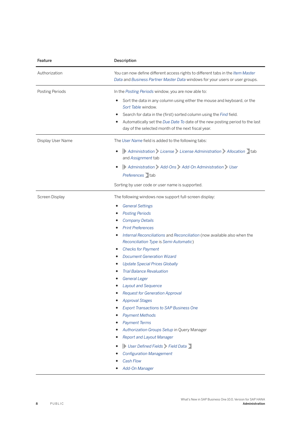| Feature           | Description<br>You can now define different access rights to different tabs in the Item Master<br>Data and Business Partner Master Data windows for your users or user groups.                                                                                                                                                                                                                                                                                                                                                                                                                                                                                                                                                                                                                                                                                     |  |
|-------------------|--------------------------------------------------------------------------------------------------------------------------------------------------------------------------------------------------------------------------------------------------------------------------------------------------------------------------------------------------------------------------------------------------------------------------------------------------------------------------------------------------------------------------------------------------------------------------------------------------------------------------------------------------------------------------------------------------------------------------------------------------------------------------------------------------------------------------------------------------------------------|--|
| Authorization     |                                                                                                                                                                                                                                                                                                                                                                                                                                                                                                                                                                                                                                                                                                                                                                                                                                                                    |  |
| Posting Periods   | In the Posting Periods window, you are now able to:                                                                                                                                                                                                                                                                                                                                                                                                                                                                                                                                                                                                                                                                                                                                                                                                                |  |
|                   | Sort the data in any column using either the mouse and keyboard, or the<br>٠<br>Sort Table window.<br>Search for data in the (first) sorted column using the Find field.<br>٠<br>Automatically set the Due Date To date of the new posting period to the last<br>day of the selected month of the next fiscal year.                                                                                                                                                                                                                                                                                                                                                                                                                                                                                                                                                |  |
| Display User Name | The User Name field is added to the following tabs:                                                                                                                                                                                                                                                                                                                                                                                                                                                                                                                                                                                                                                                                                                                                                                                                                |  |
|                   | Administration License License Administration Allocation tab<br>$\bullet$<br>and Assignment tab                                                                                                                                                                                                                                                                                                                                                                                                                                                                                                                                                                                                                                                                                                                                                                    |  |
|                   | Administration Add-Ons Add-On Administration User                                                                                                                                                                                                                                                                                                                                                                                                                                                                                                                                                                                                                                                                                                                                                                                                                  |  |
|                   | Preferences tab                                                                                                                                                                                                                                                                                                                                                                                                                                                                                                                                                                                                                                                                                                                                                                                                                                                    |  |
|                   | Sorting by user code or user name is supported.                                                                                                                                                                                                                                                                                                                                                                                                                                                                                                                                                                                                                                                                                                                                                                                                                    |  |
| Screen Display    | The following windows now support full-screen display:<br><b>General Settings</b><br><b>Posting Periods</b><br><b>Company Details</b><br><b>Print Preferences</b><br>Internal Reconciliations and Reconciliation (now available also when the<br>Reconciliation Type is Semi-Automatic)<br><b>Checks for Payment</b><br><b>Document Generation Wizard</b><br><b>Update Special Prices Globally</b><br><b>Trial Balance Revaluation</b><br><b>General Leger</b><br><b>Layout and Sequence</b><br><b>Request for Generation Approval</b><br><b>Approval Stages</b><br><b>Export Transactions to SAP Business One</b><br><b>Payment Methods</b><br><b>Payment Terms</b><br>Authorization Groups Setup in Query Manager<br><b>Report and Layout Manager</b><br>User Defined Fields Field Data<br><b>Configuration Management</b><br><b>Cash Flow</b><br>Add-On Manager |  |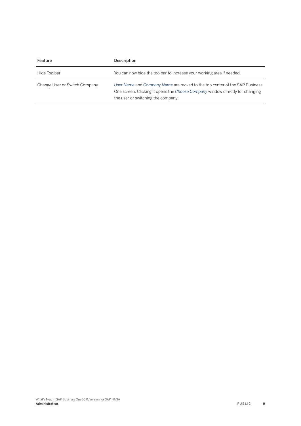| Feature                       | Description                                                                                                                                                                                       |
|-------------------------------|---------------------------------------------------------------------------------------------------------------------------------------------------------------------------------------------------|
| Hide Toolbar                  | You can now hide the toolbar to increase your working area if needed.                                                                                                                             |
| Change User or Switch Company | User Name and Company Name are moved to the top center of the SAP Business<br>One screen. Clicking it opens the Choose Company window directly for changing<br>the user or switching the company. |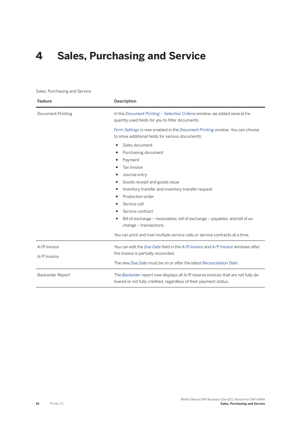## <span id="page-9-0"></span>**4 Sales, Purchasing and Service**

#### Sales, Purchasing and Service

| Description<br>Feature     |                                                                                                                                                                                                                                                                                                                                                        |  |
|----------------------------|--------------------------------------------------------------------------------------------------------------------------------------------------------------------------------------------------------------------------------------------------------------------------------------------------------------------------------------------------------|--|
| Document Printing          | In the Document Printing – Selection Criteria window, we added several fre-<br>quently used fields for you to filter documents.                                                                                                                                                                                                                        |  |
|                            | Form Settings is now enabled in the Document Printing window. You can choose<br>to show additional fields for various documents:                                                                                                                                                                                                                       |  |
|                            | Sales document<br>٠<br>Purchasing document<br>Payment<br>٠<br>Tax invoice<br>Journal entry<br>Goods receipt and goods issue<br>Inventory transfer and inventory transfer request<br>Production order<br>Service call<br>Service contract<br>Bill of exchange – receivables; bill of exchange – payables; and bill of ex-<br>٠<br>change - transactions |  |
|                            | You can print and mail multiple service calls or service contracts at a time.                                                                                                                                                                                                                                                                          |  |
| A/R Invoice<br>A/P Invoice | You can edit the Due Date field in the $A/R$ Invoice and $A/P$ Invoice windows after<br>the invoice is partially reconciled.<br>The new Due Date must be on or after the latest Reconciliation Date.                                                                                                                                                   |  |
| Backorder Report           | The Backorder report now displays all A/R reserve invoices that are not fully de-<br>livered or not fully credited, regardless of their payment status.                                                                                                                                                                                                |  |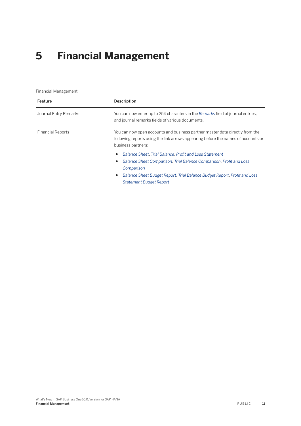# <span id="page-10-0"></span>**5 Financial Management**

Financial Management

| Feature                  | Description                                                                                                                                                                                                                                                           |  |
|--------------------------|-----------------------------------------------------------------------------------------------------------------------------------------------------------------------------------------------------------------------------------------------------------------------|--|
| Journal Entry Remarks    | You can now enter up to 254 characters in the Remarks field of journal entries,<br>and journal remarks fields of various documents.                                                                                                                                   |  |
| <b>Financial Reports</b> | You can now open accounts and business partner master data directly from the<br>following reports using the link arrows appearing before the names of accounts or<br>business partners:                                                                               |  |
|                          | Balance Sheet, Trial Balance, Profit and Loss Statement<br>٠<br>Balance Sheet Comparison, Trial Balance Comparison, Profit and Loss<br>Comparison<br>Balance Sheet Budget Report, Trial Balance Budget Report, Profit and Loss<br>٠<br><b>Statement Budget Report</b> |  |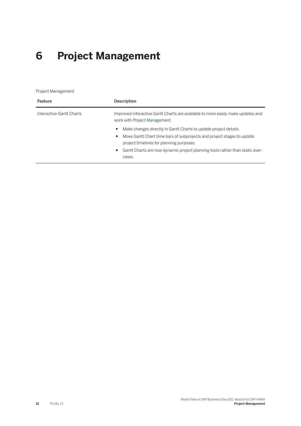# <span id="page-11-0"></span>**6 Project Management**

Project Management

| Feature                  | Description                                                                                                                                                                                                                                                                                        |  |
|--------------------------|----------------------------------------------------------------------------------------------------------------------------------------------------------------------------------------------------------------------------------------------------------------------------------------------------|--|
| Interactive Gantt Charts | Improved interactive Gantt Charts are available to more easily make updates and<br>work with Project Management.                                                                                                                                                                                   |  |
|                          | Make changes directly in Gantt Charts to update project details.<br>$\bullet$<br>Move Gantt Chart time bars of subprojects and project stages to update<br>٠<br>project timelines for planning purposes.<br>Gantt Charts are now dynamic project planning tools rather than static over-<br>views. |  |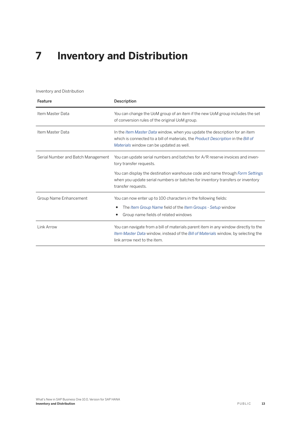## <span id="page-12-0"></span>**7 Inventory and Distribution**

Inventory and Distribution

| Feature                            | Description                                                                                                                                                                                                         |
|------------------------------------|---------------------------------------------------------------------------------------------------------------------------------------------------------------------------------------------------------------------|
| Item Master Data                   | You can change the UoM group of an item if the new UoM group includes the set<br>of conversion rules of the original UoM group.                                                                                     |
| Item Master Data                   | In the <i>Item Master Data</i> window, when you update the description for an item<br>which is connected to a bill of materials, the Product Description in the Bill of<br>Materials window can be updated as well. |
| Serial Number and Batch Management | You can update serial numbers and batches for A/R reserve invoices and inven-<br>tory transfer requests.                                                                                                            |
|                                    | You can display the destination warehouse code and name through Form Settings<br>when you update serial numbers or batches for inventory transfers or inventory<br>transfer requests.                               |
| Group Name Enhancement             | You can now enter up to 100 characters in the following fields:                                                                                                                                                     |
|                                    | The Item Group Name field of the Item Groups - Setup window<br>Group name fields of related windows                                                                                                                 |
| Link Arrow                         | You can navigate from a bill of materials parent item in any window directly to the<br>Item Master Data window, instead of the Bill of Materials window, by selecting the<br>link arrow next to the item.           |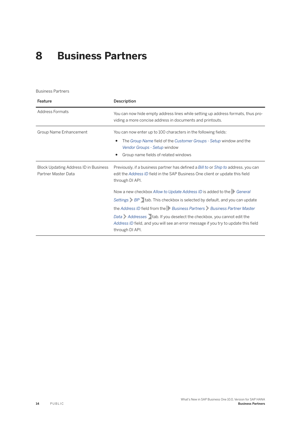### <span id="page-13-0"></span>**8 Business Partners**

Business Partners

| Feature                                                      | Description                                                                                                                                                                                                                                                                                                                                                                                                                                        |
|--------------------------------------------------------------|----------------------------------------------------------------------------------------------------------------------------------------------------------------------------------------------------------------------------------------------------------------------------------------------------------------------------------------------------------------------------------------------------------------------------------------------------|
| Address Formats                                              | You can now hide empty address lines while setting up address formats, thus pro-<br>viding a more concise address in documents and printouts.                                                                                                                                                                                                                                                                                                      |
| Group Name Enhancement                                       | You can now enter up to 100 characters in the following fields:<br>The Group Name field of the Customer Groups - Setup window and the<br>Vendor Groups - Setup window<br>Group name fields of related windows                                                                                                                                                                                                                                      |
| Block Updating Address ID in Business<br>Partner Master Data | Previously, if a business partner has defined a Bill to or Ship to address, you can<br>edit the Address ID field in the SAP Business One client or update this field<br>through DI API.                                                                                                                                                                                                                                                            |
|                                                              | Now a new checkbox Allow to Update Address ID is added to the General<br>Settings $\triangleright$ BP $\triangleright$ tab. This checkbox is selected by default, and you can update<br>the Address ID field from the Business Partners Business Partner Master<br>Data Addresses tab. If you deselect the checkbox, you cannot edit the<br>Address ID field, and you will see an error message if you try to update this field<br>through DI API. |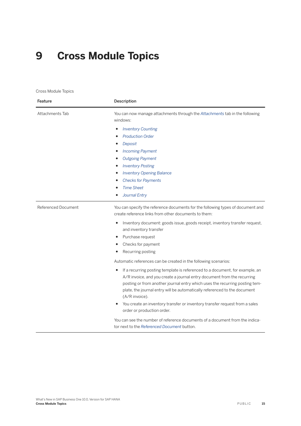## <span id="page-14-0"></span>**9 Cross Module Topics**

Cross Module Topics

| Feature             | Description                                                                                                                                                                                                                                                                                                                                                                                                               |  |
|---------------------|---------------------------------------------------------------------------------------------------------------------------------------------------------------------------------------------------------------------------------------------------------------------------------------------------------------------------------------------------------------------------------------------------------------------------|--|
| Attachments Tab     | You can now manage attachments through the Attachments tab in the following<br>windows:                                                                                                                                                                                                                                                                                                                                   |  |
|                     | <b>Inventory Counting</b><br><b>Production Order</b><br>Deposit<br><b>Incoming Payment</b><br><b>Outgoing Payment</b><br><b>Inventory Posting</b><br><b>Inventory Opening Balance</b><br><b>Checks for Payments</b><br><b>Time Sheet</b><br>Journal Entry                                                                                                                                                                 |  |
| Referenced Document | You can specify the reference documents for the following types of document and<br>create reference links from other documents to them:                                                                                                                                                                                                                                                                                   |  |
|                     | Inventory document: goods issue, goods receipt, inventory transfer request,<br>and inventory transfer<br>Purchase request<br>Checks for payment<br>Recurring posting                                                                                                                                                                                                                                                      |  |
|                     | Automatic references can be created in the following scenarios:                                                                                                                                                                                                                                                                                                                                                           |  |
|                     | If a recurring posting template is referenced to a document, for example, an<br>٠<br>A/R invoice, and you create a journal entry document from the recurring<br>posting or from another journal entry which uses the recurring posting tem-<br>plate, the journal entry will be automatically referenced to the document<br>(A/R invoice).<br>You create an inventory transfer or inventory transfer request from a sales |  |
|                     | order or production order.<br>You can see the number of reference documents of a document from the indica-                                                                                                                                                                                                                                                                                                                |  |
|                     | tor next to the Referenced Document button.                                                                                                                                                                                                                                                                                                                                                                               |  |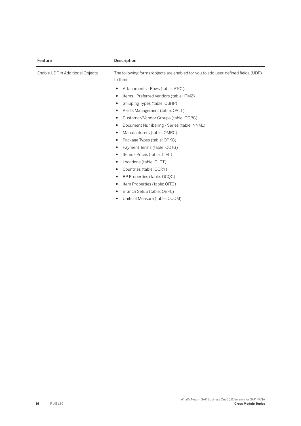| Feature                          | Description                                                                                  |
|----------------------------------|----------------------------------------------------------------------------------------------|
| Enable UDF in Additional Objects | The following forms/objects are enabled for you to add user-defined fields (UDF)<br>to them: |
|                                  | Attachments - Rows (table: ATC1)                                                             |
|                                  | Items - Preferred Vendors (table: ITM2)<br>٠                                                 |
|                                  | Shipping Types (table: OSHP)                                                                 |
|                                  | Alerts Management (table: OALT)                                                              |
|                                  | Customer/Vendor Groups (table: OCRG)<br>٠                                                    |
|                                  | Document Numbering - Series (table: NNM1)                                                    |
|                                  | Manufacturers (table: OMRC)                                                                  |
|                                  | Package Types (table: OPKG)                                                                  |
|                                  | Payment Terms (table: OCTG)                                                                  |
|                                  | Items - Prices (table: ITM1)                                                                 |
|                                  | Locations (table: OLCT)<br>٠                                                                 |
|                                  | Countries (table: OCRY)                                                                      |
|                                  | BP Properties (table: OCQG)                                                                  |
|                                  | Item Properties (table: OITG)                                                                |
|                                  | Branch Setup (table: OBPL)                                                                   |
|                                  | Units of Measure (table: OUOM)                                                               |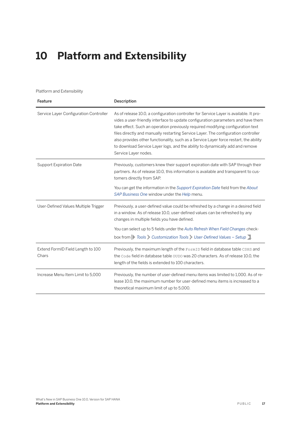## <span id="page-16-0"></span>**10 Platform and Extensibility**

#### Platform and Extensibility

| Feature                                    | Description                                                                                                                                                                                                                                                                                                                                                                                                                                                                                                                                           |
|--------------------------------------------|-------------------------------------------------------------------------------------------------------------------------------------------------------------------------------------------------------------------------------------------------------------------------------------------------------------------------------------------------------------------------------------------------------------------------------------------------------------------------------------------------------------------------------------------------------|
| Service Layer Configuration Controller     | As of release 10.0, a configuration controller for Service Layer is available. It pro-<br>vides a user-friendly interface to update configuration parameters and have them<br>take effect. Such an operation previously required modifying configuration text<br>files directly and manually restarting Service Layer. The configuration controller<br>also provides other functionality, such as a Service Layer force restart, the ability<br>to download Service Layer logs, and the ability to dynamically add and remove<br>Service Layer nodes. |
| <b>Support Expiration Date</b>             | Previously, customers knew their support expiration date with SAP through their<br>partners. As of release 10.0, this information is available and transparent to cus-<br>tomers directly from SAP.                                                                                                                                                                                                                                                                                                                                                   |
|                                            | You can get the information in the Support Expiration Date field from the About<br>SAP Business One window under the Help menu.                                                                                                                                                                                                                                                                                                                                                                                                                       |
| User-Defined Values Multiple Trigger       | Previously, a user-defined value could be refreshed by a change in a desired field<br>in a window. As of release 10.0, user-defined values can be refreshed by any<br>changes in multiple fields you have defined.<br>You can select up to 5 fields under the Auto Refresh When Field Changes check-                                                                                                                                                                                                                                                  |
|                                            | box from Tools Customization Tools User-Defined Values - Setup.                                                                                                                                                                                                                                                                                                                                                                                                                                                                                       |
| Extend FormID Field Length to 100<br>Chars | Previously, the maximum length of the FormID field in database table CSHS and<br>the Code field in database table OUDO was 20 characters. As of release 10.0, the<br>length of the fields is extended to 100 characters.                                                                                                                                                                                                                                                                                                                              |
| Increase Menu Item Limit to 5,000          | Previously, the number of user-defined menu items was limited to 1,000. As of re-<br>lease 10.0, the maximum number for user-defined menu items is increased to a<br>theoretical maximum limit of up to 5,000.                                                                                                                                                                                                                                                                                                                                        |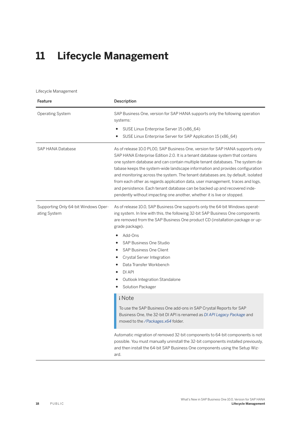# <span id="page-17-0"></span>**11 Lifecycle Management**

#### Lifecycle Management

| Feature                                              | Description                                                                                                                                                                                                                                                                                                                                                                                                                                                                                                                                                                                                                                                     |
|------------------------------------------------------|-----------------------------------------------------------------------------------------------------------------------------------------------------------------------------------------------------------------------------------------------------------------------------------------------------------------------------------------------------------------------------------------------------------------------------------------------------------------------------------------------------------------------------------------------------------------------------------------------------------------------------------------------------------------|
| <b>Operating System</b>                              | SAP Business One, version for SAP HANA supports only the following operation<br>systems:<br>SUSE Linux Enterprise Server 15 (x86_64)<br>SUSE Linux Enterprise Server for SAP Application 15 (x86_64)                                                                                                                                                                                                                                                                                                                                                                                                                                                            |
| <b>SAP HANA Database</b>                             | As of release 10.0 PLOO, SAP Business One, version for SAP HANA supports only<br>SAP HANA Enterprise Edition 2.0. It is a tenant database system that contains<br>one system database and can contain multiple tenant databases. The system da-<br>tabase keeps the system-wide landscape information and provides configuration<br>and monitoring across the system. The tenant databases are, by default, isolated<br>from each other as regards application data, user management, traces and logs,<br>and persistence. Each tenant database can be backed up and recovered inde-<br>pendently without impacting one another, whether it is live or stopped. |
| Supporting Only 64-bit Windows Oper-<br>ating System | As of release 10.0, SAP Business One supports only the 64-bit Windows operat-<br>ing system. In line with this, the following 32-bit SAP Business One components<br>are removed from the SAP Business One product CD (installation package or up-<br>grade package).<br>Add-Ons<br>$\bullet$<br>SAP Business One Studio<br>SAP Business One Client<br>$\bullet$<br>Crystal Server Integration<br>٠<br>Data Transfer Workbench<br>DI API<br>Outlook Integration Standalone<br>Solution Packager                                                                                                                                                                  |
|                                                      | i Note<br>To use the SAP Business One add-ons in SAP Crystal Reports for SAP<br>Business One, the 32-bit DI API is renamed as DI API Legacy Package and<br>moved to the /Packages.x64 folder.                                                                                                                                                                                                                                                                                                                                                                                                                                                                   |
|                                                      | Automatic migration of removed 32-bit components to 64-bit components is not<br>possible. You must manually uninstall the 32-bit components installed previously,<br>and then install the 64-bit SAP Business One components using the Setup Wiz-<br>ard.                                                                                                                                                                                                                                                                                                                                                                                                       |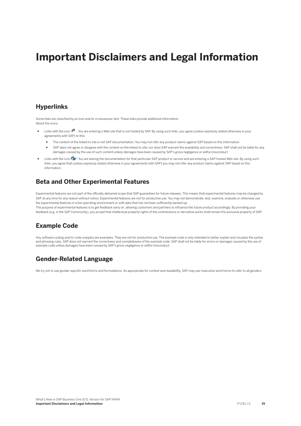#### **Important Disclaimers and Legal Information**

#### **Hyperlinks**

Some links are classified by an icon and/or a mouseover text. These links provide additional information. About the icons:

- Links with the icon  $\blacktriangleright$ : You are entering a Web site that is not hosted by SAP. By using such links, you agree (unless expressly stated otherwise in your agreements with SAP) to this:
	- The content of the linked-to site is not SAP documentation. You may not infer any product claims against SAP based on this information.
	- SAP does not agree or disagree with the content on the linked-to site, nor does SAP warrant the availability and correctness. SAP shall not be liable for any damages caused by the use of such content unless damages have been caused by SAP's gross negligence or willful misconduct.
- Links with the icon  $\sim$ : You are leaving the documentation for that particular SAP product or service and are entering a SAP-hosted Web site. By using such links, you agree that (unless expressly stated otherwise in your agreements with SAP) you may not infer any product claims against SAP based on this information.

#### **Beta and Other Experimental Features**

Experimental features are not part of the officially delivered scope that SAP guarantees for future releases. This means that experimental features may be changed by SAP at any time for any reason without notice. Experimental features are not for productive use. You may not demonstrate, test, examine, evaluate or otherwise use the experimental features in a live operating environment or with data that has not been sufficiently backed up. The purpose of experimental features is to get feedback early on, allowing customers and partners to influence the future product accordingly. By providing your

feedback (e.g. in the SAP Community), you accept that intellectual property rights of the contributions or derivative works shall remain the exclusive property of SAP.

#### **Example Code**

Any software coding and/or code snippets are examples. They are not for productive use. The example code is only intended to better explain and visualize the syntax and phrasing rules. SAP does not warrant the correctness and completeness of the example code. SAP shall not be liable for errors or damages caused by the use of example code unless damages have been caused by SAP's gross negligence or willful misconduct.

#### **Gender-Related Language**

We try not to use gender-specific word forms and formulations. As appropriate for context and readability, SAP may use masculine word forms to refer to all genders.